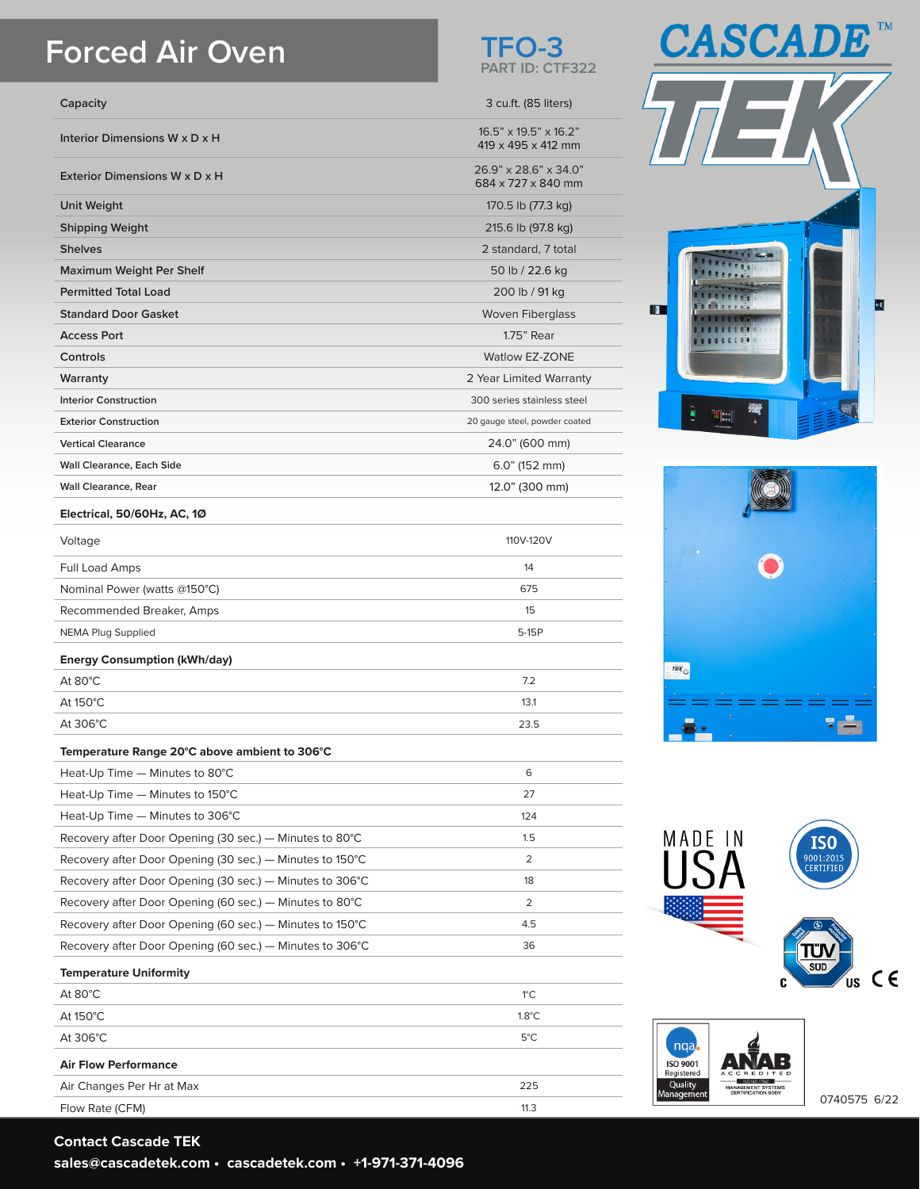## **Forced Air Oven**

| Capacity                                      | 3 cu.ft. (85 liters)                                    |
|-----------------------------------------------|---------------------------------------------------------|
| Interior Dimensions W x D x H                 | $16.5" \times 19.5" \times 16.2"$<br>419 x 495 x 412 mm |
| Exterior Dimensions W x D x H                 | 26.9" x 28.6" x 34.0"<br>684 x 727 x 840 mm             |
| <b>Unit Weight</b>                            | 170.5 lb (77.3 kg)                                      |
| <b>Shipping Weight</b>                        | 215.6 lb (97.8 kg)                                      |
| <b>Shelves</b>                                | 2 standard, 7 total                                     |
| Maximum Weight Per Shelf                      | 50 lb / 22.6 kg                                         |
| <b>Permitted Total Load</b>                   | 200 lb / 91 kg                                          |
| <b>Standard Door Gasket</b>                   | <b>Woven Fiberglass</b>                                 |
| <b>Access Port</b>                            | 1.75" Rear                                              |
| Controls                                      | <b>Watlow EZ-ZONE</b>                                   |
| Warranty                                      | 2 Year Limited Warranty                                 |
| <b>Interior Construction</b>                  | 300 series stainless steel                              |
| <b>Exterior Construction</b>                  | 20 gauge steel, powder coated                           |
| <b>Vertical Clearance</b>                     | 24.0" (600 mm)                                          |
| <b>Wall Clearance, Each Side</b>              | $6.0$ " (152 mm)                                        |
| <b>Wall Clearance, Rear</b>                   | 12.0" (300 mm)                                          |
| Electrical, 50/60Hz, AC, 10                   |                                                         |
| Voltage                                       | 110V-120V                                               |
| Full Load Amps                                | 14                                                      |
| Nominal Power (watts @150°C)                  | 675                                                     |
| Recommended Breaker, Amps                     | 15                                                      |
| <b>NEMA Plug Supplied</b>                     | 5-15P                                                   |
| <b>Energy Consumption (kWh/day)</b>           |                                                         |
| At $80^{\circ}$ C                             | 7.2                                                     |
| At 150°C                                      | 13.1                                                    |
| At 306°C                                      | 23.5                                                    |
| Temperature Range 20°C above ambient to 306°C |                                                         |

## **Temperature Range 20°C above ambient to 306°C**

| Heat-Up Time - Minutes to 80°C                                     | 6              |  |
|--------------------------------------------------------------------|----------------|--|
| Heat-Up Time $-$ Minutes to 150 $^{\circ}$ C                       | 27             |  |
| Heat-Up Time - Minutes to 306°C                                    | 124            |  |
| Recovery after Door Opening (30 sec.) – Minutes to 80 $^{\circ}$ C | 1.5            |  |
| Recovery after Door Opening (30 sec.) — Minutes to 150°C           | $\overline{2}$ |  |
| Recovery after Door Opening (30 sec.) – Minutes to 306°C           | 18             |  |
| Recovery after Door Opening (60 sec.) – Minutes to 80°C            | $\overline{2}$ |  |
| Recovery after Door Opening (60 sec.) – Minutes to 150°C           | 4.5            |  |
| Recovery after Door Opening (60 sec.) – Minutes to 306°C           | 36             |  |
| <b>Temperature Uniformity</b>                                      |                |  |

| At $80^{\circ}$ C           | $1^{\circ}$ C   |
|-----------------------------|-----------------|
| At $150^{\circ}$ C          | $1.8^{\circ}$ C |
| At $306^{\circ}$ C          | $5^{\circ}$ C   |
| <b>Air Flow Performance</b> |                 |
| Air Changes Per Hr at Max   | 225             |
| Flow Rate (CFM)             | 11.3            |

**Contact Cascade TEK sales@cascadetek.com • cascadetek.com • +1-971-371-4096**











0740575 6/22